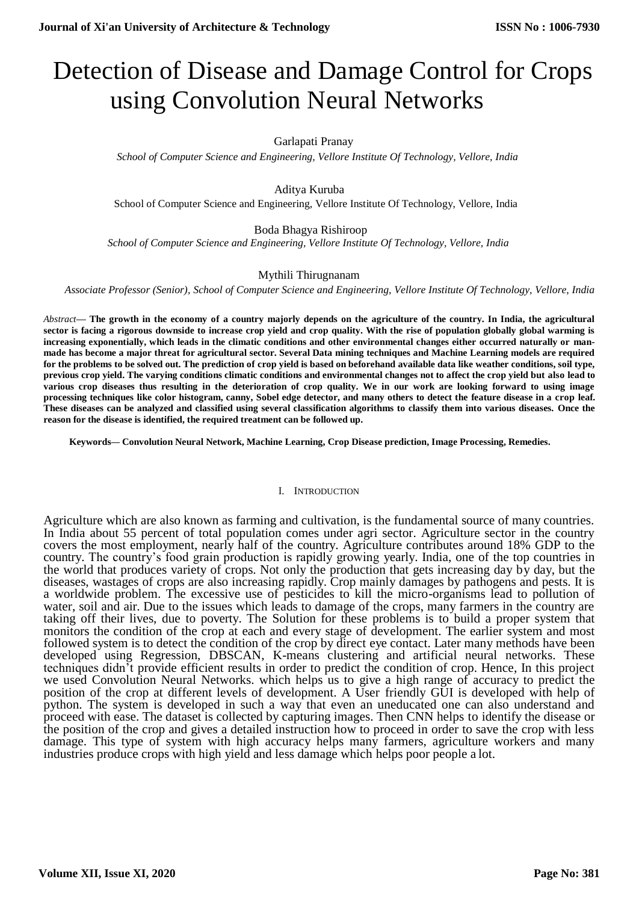# Detection of Disease and Damage Control for Crops using Convolution Neural Networks

# Garlapati Pranay

*School of Computer Science and Engineering, Vellore Institute Of Technology, Vellore, India*

Aditya Kuruba

School of Computer Science and Engineering, Vellore Institute Of Technology, Vellore, India

Boda Bhagya Rishiroop *School of Computer Science and Engineering, Vellore Institute Of Technology, Vellore, India*

Mythili Thirugnanam

*Associate Professor (Senior), School of Computer Science and Engineering, Vellore Institute Of Technology, Vellore, India*

*Abstract***— The growth in the economy of a country majorly depends on the agriculture of the country. In India, the agricultural sector is facing a rigorous downside to increase crop yield and crop quality. With the rise of population globally global warming is increasing exponentially, which leads in the climatic conditions and other environmental changes either occurred naturally or manmade has become a major threat for agricultural sector. Several Data mining techniques and Machine Learning models are required for the problems to be solved out. The prediction of crop yield is based on beforehand available data like weather conditions, soil type, previous crop yield. The varying conditions climatic conditions and environmental changes not to affect the crop yield but also lead to various crop diseases thus resulting in the deterioration of crop quality. We in our work are looking forward to using image processing techniques like color histogram, canny, Sobel edge detector, and many others to detect the feature disease in a crop leaf. These diseases can be analyzed and classified using several classification algorithms to classify them into various diseases. Once the reason for the disease is identified, the required treatment can be followed up.**

**Keywords**— **Convolution Neural Network, Machine Learning, Crop Disease prediction, Image Processing, Remedies.**

#### I. INTRODUCTION

Agriculture which are also known as farming and cultivation, is the fundamental source of many countries. In India about 55 percent of total population comes under agri sector. Agriculture sector in the country covers the most employment, nearly half of the country. Agriculture contributes around 18% GDP to the country. The country's food grain production is rapidly growing yearly. India, one of the top countries in the world that produces variety of crops. Not only the production that gets increasing day by day, but the diseases, wastages of crops are also increasing rapidly. Crop mainly damages by pathogens and pests. It is a worldwide problem. The excessive use of pesticides to kill the micro-organisms lead to pollution of water, soil and air. Due to the issues which leads to damage of the crops, many farmers in the country are taking off their lives, due to poverty. The Solution for these problems is to build a proper system that monitors the condition of the crop at each and every stage of development. The earlier system and most followed system is to detect the condition of the crop by direct eye contact. Later many methods have been developed using Regression, DBSCAN, K-means clustering and artificial neural networks. These techniques didn't provide efficient results in order to predict the condition of crop. Hence, In this project we used Convolution Neural Networks. which helps us to give a high range of accuracy to predict the position of the crop at different levels of development. A User friendly GUI is developed with help of python. The system is developed in such a way that even an uneducated one can also understand and proceed with ease. The dataset is collected by capturing images. Then CNN helps to identify the disease or the position of the crop and gives a detailed instruction how to proceed in order to save the crop with less damage. This type of system with high accuracy helps many farmers, agriculture workers and many industries produce crops with high yield and less damage which helps poor people a lot.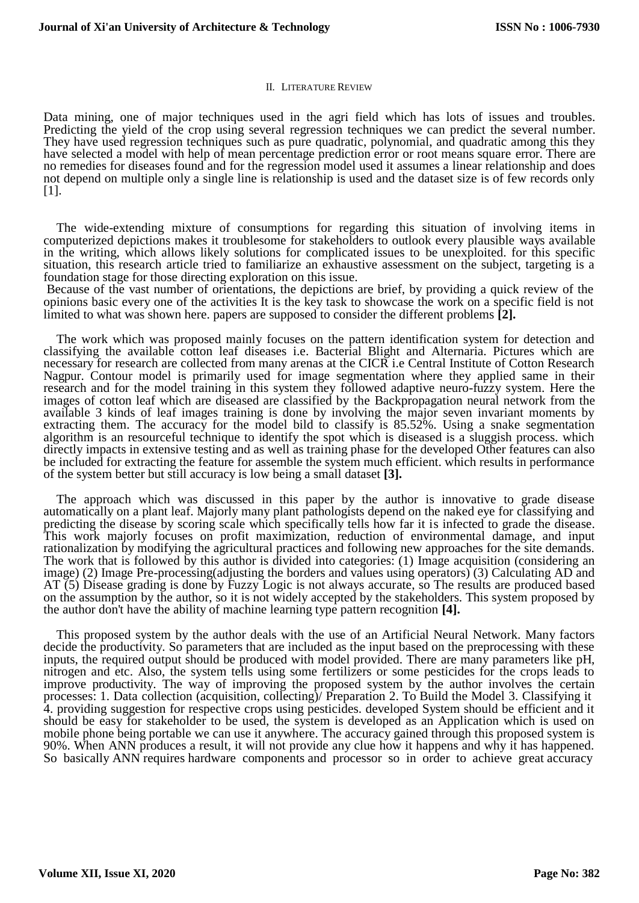#### II. LITERATURE REVIEW

Data mining, one of major techniques used in the agri field which has lots of issues and troubles. Predicting the yield of the crop using several regression techniques we can predict the several number. They have used regression techniques such as pure quadratic, polynomial, and quadratic among this they have selected a model with help of mean percentage prediction error or root means square error. There are no remedies for diseases found and for the regression model used it assumes a linear relationship and does not depend on multiple only a single line is relationship is used and the dataset size is of few records only [1].

The wide-extending mixture of consumptions for regarding this situation of involving items in computerized depictions makes it troublesome for stakeholders to outlook every plausible ways available in the writing, which allows likely solutions for complicated issues to be unexploited. for this specific situation, this research article tried to familiarize an exhaustive assessment on the subject, targeting is a foundation stage for those directing exploration on this issue.

Because of the vast number of orientations, the depictions are brief, by providing a quick review of the opinions basic every one of the activities It is the key task to showcase the work on a specific field is not limited to what was shown here. papers are supposed to consider the different problems **[2].**

The work which was proposed mainly focuses on the pattern identification system for detection and classifying the available cotton leaf diseases i.e. Bacterial Blight and Alternaria. Pictures which are necessary for research are collected from many arenas at the CICR i.e Central Institute of Cotton Research Nagpur. Contour model is primarily used for image segmentation where they applied same in their research and for the model training in this system they followed adaptive neuro-fuzzy system. Here the images of cotton leaf which are diseased are classified by the Backpropagation neural network from the available 3 kinds of leaf images training is done by involving the major seven invariant moments by extracting them. The accuracy for the model bild to classify is 85.52%. Using a snake segmentation algorithm is an resourceful technique to identify the spot which is diseased is a sluggish process. which directly impacts in extensive testing and as well as training phase for the developed Other features can also be included for extracting the feature for assemble the system much efficient. which results in performance of the system better but still accuracy is low being a small dataset **[3].**

The approach which was discussed in this paper by the author is innovative to grade disease automatically on a plant leaf. Majorly many plant pathologists depend on the naked eye for classifying and predicting the disease by scoring scale which specifically tells how far it is infected to grade the disease. This work majorly focuses on profit maximization, reduction of environmental damage, and input rationalization by modifying the agricultural practices and following new approaches for the site demands. The work that is followed by this author is divided into categories: (1) Image acquisition (considering an image) (2) Image Pre-processing(adjusting the borders and values using operators) (3) Calculating AD and AT (5) Disease grading is done by Fuzzy Logic is not always accurate, so The results are produced based on the assumption by the author, so it is not widely accepted by the stakeholders. This system proposed by the author don't have the ability of machine learning type pattern recognition **[4].**

This proposed system by the author deals with the use of an Artificial Neural Network. Many factors decide the productivity. So parameters that are included as the input based on the preprocessing with these inputs, the required output should be produced with model provided. There are many parameters like pH, nitrogen and etc. Also, the system tells using some fertilizers or some pesticides for the crops leads to improve productivity. The way of improving the proposed system by the author involves the certain processes: 1. Data collection (acquisition, collecting)/ Preparation 2. To Build the Model 3. Classifying it 4. providing suggestion for respective crops using pesticides. developed System should be efficient and it should be easy for stakeholder to be used, the system is developed as an Application which is used on mobile phone being portable we can use it anywhere. The accuracy gained through this proposed system is 90%. When ANN produces a result, it will not provide any clue how it happens and why it has happened. So basically ANN requires hardware components and processor so in order to achieve great accuracy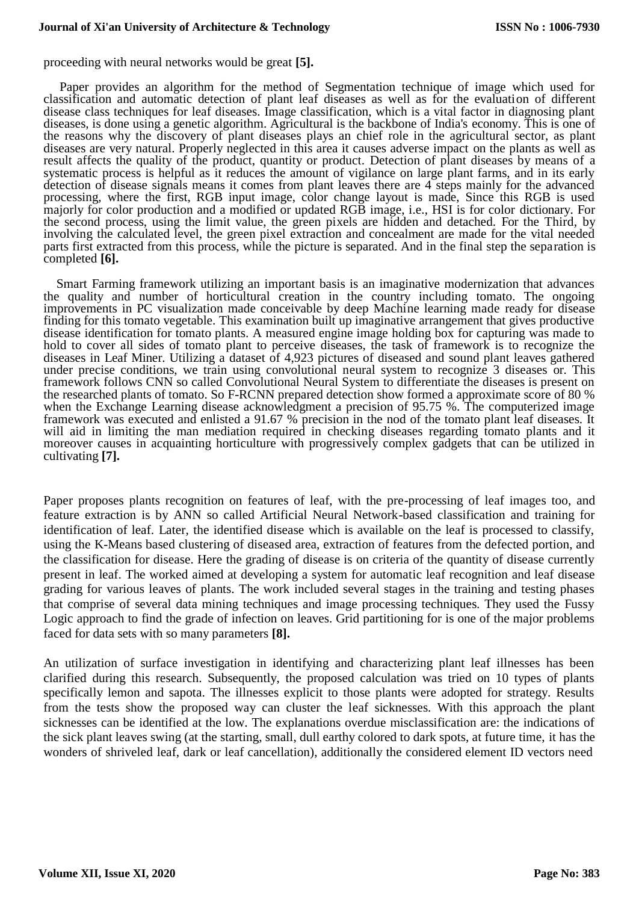## **Journal of Xi'an University of Architecture & Technology**

proceeding with neural networks would be great **[5].**

Paper provides an algorithm for the method of Segmentation technique of image which used for classification and automatic detection of plant leaf diseases as well as for the evaluation of different disease class techniques for leaf diseases. Image classification, which is a vital factor in diagnosing plant diseases, is done using a genetic algorithm. Agricultural is the backbone of India's economy. This is one of the reasons why the discovery of plant diseases plays an chief role in the agricultural sector, as plant diseases are very natural. Properly neglected in this area it causes adverse impact on the plants as well as result affects the quality of the product, quantity or product. Detection of plant diseases by means of a systematic process is helpful as it reduces the amount of vigilance on large plant farms, and in its early detection of disease signals means it comes from plant leaves there are 4 steps mainly for the advanced processing, where the first, RGB input image, color change layout is made, Since this RGB is used majorly for color production and a modified or updated RGB image, i.e., HSI is for color dictionary. For the second process, using the limit value, the green pixels are hidden and detached. For the Third, by involving the calculated level, the green pixel extraction and concealment are made for the vital needed parts first extracted from this process, while the picture is separated. And in the final step the separation is completed **[6].**

Smart Farming framework utilizing an important basis is an imaginative modernization that advances the quality and number of horticultural creation in the country including tomato. The ongoing improvements in PC visualization made conceivable by deep Machine learning made ready for disease finding for this tomato vegetable. This examination built up imaginative arrangement that gives productive disease identification for tomato plants. A measured engine image holding box for capturing was made to hold to cover all sides of tomato plant to perceive diseases, the task of framework is to recognize the diseases in Leaf Miner. Utilizing a dataset of 4,923 pictures of diseased and sound plant leaves gathered under precise conditions, we train using convolutional neural system to recognize 3 diseases or. This framework follows CNN so called Convolutional Neural System to differentiate the diseases is present on the researched plants of tomato. So F-RCNN prepared detection show formed a approximate score of 80 % when the Exchange Learning disease acknowledgment a precision of 95.75 %. The computerized image framework was executed and enlisted a 91.67 % precision in the nod of the tomato plant leaf diseases. It will aid in limiting the man mediation required in checking diseases regarding tomato plants and it moreover causes in acquainting horticulture with progressively complex gadgets that can be utilized in cultivating **[7].**

Paper proposes plants recognition on features of leaf, with the pre-processing of leaf images too, and feature extraction is by ANN so called Artificial Neural Network-based classification and training for identification of leaf. Later, the identified disease which is available on the leaf is processed to classify, using the K-Means based clustering of diseased area, extraction of features from the defected portion, and the classification for disease. Here the grading of disease is on criteria of the quantity of disease currently present in leaf. The worked aimed at developing a system for automatic leaf recognition and leaf disease grading for various leaves of plants. The work included several stages in the training and testing phases that comprise of several data mining techniques and image processing techniques. They used the Fussy Logic approach to find the grade of infection on leaves. Grid partitioning for is one of the major problems faced for data sets with so many parameters **[8].**

An utilization of surface investigation in identifying and characterizing plant leaf illnesses has been clarified during this research. Subsequently, the proposed calculation was tried on 10 types of plants specifically lemon and sapota. The illnesses explicit to those plants were adopted for strategy. Results from the tests show the proposed way can cluster the leaf sicknesses. With this approach the plant sicknesses can be identified at the low. The explanations overdue misclassification are: the indications of the sick plant leaves swing (at the starting, small, dull earthy colored to dark spots, at future time, it has the wonders of shriveled leaf, dark or leaf cancellation), additionally the considered element ID vectors need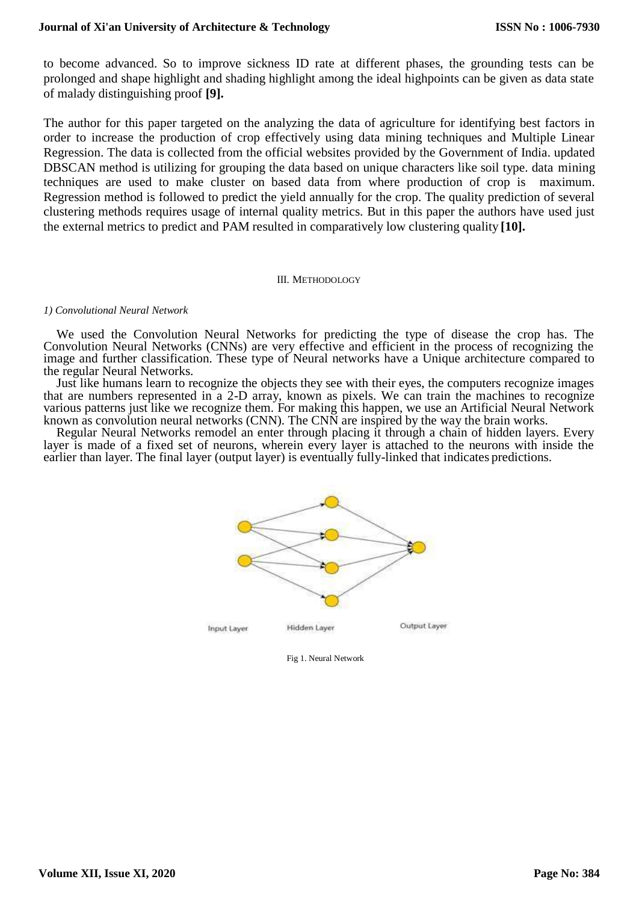to become advanced. So to improve sickness ID rate at different phases, the grounding tests can be prolonged and shape highlight and shading highlight among the ideal highpoints can be given as data state of malady distinguishing proof **[9].**

The author for this paper targeted on the analyzing the data of agriculture for identifying best factors in order to increase the production of crop effectively using data mining techniques and Multiple Linear Regression. The data is collected from the official websites provided by the Government of India. updated DBSCAN method is utilizing for grouping the data based on unique characters like soil type. data mining techniques are used to make cluster on based data from where production of crop is maximum. Regression method is followed to predict the yield annually for the crop. The quality prediction of several clustering methods requires usage of internal quality metrics. But in this paper the authors have used just the external metrics to predict and PAM resulted in comparatively low clustering quality **[10].**

## III. METHODOLOGY

## *1) Convolutional Neural Network*

We used the Convolution Neural Networks for predicting the type of disease the crop has. The Convolution Neural Networks (CNNs) are very effective and efficient in the process of recognizing the image and further classification. These type of Neural networks have a Unique architecture compared to the regular Neural Networks.

Just like humans learn to recognize the objects they see with their eyes, the computers recognize images that are numbers represented in a 2-D array, known as pixels. We can train the machines to recognize various patterns just like we recognize them. For making this happen, we use an Artificial Neural Network known as convolution neural networks (CNN). The CNN are inspired by the way the brain works.

Regular Neural Networks remodel an enter through placing it through a chain of hidden layers. Every layer is made of a fixed set of neurons, wherein every layer is attached to the neurons with inside the earlier than layer. The final layer (output layer) is eventually fully-linked that indicates predictions.



Fig 1. Neural Network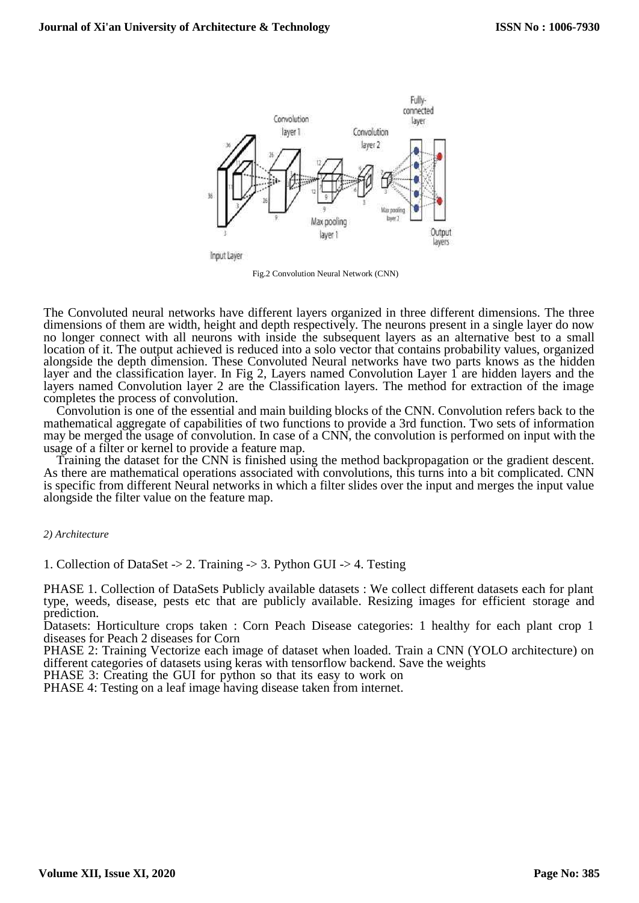

Fig.2 Convolution Neural Network (CNN)

The Convoluted neural networks have different layers organized in three different dimensions. The three dimensions of them are width, height and depth respectively. The neurons present in a single layer do now no longer connect with all neurons with inside the subsequent layers as an alternative best to a small location of it. The output achieved is reduced into a solo vector that contains probability values, organized alongside the depth dimension. These Convoluted Neural networks have two parts knows as the hidden layer and the classification layer. In Fig 2, Layers named Convolution Layer 1 are hidden layers and the layers named Convolution layer 2 are the Classification layers. The method for extraction of the image completes the process of convolution.

Convolution is one of the essential and main building blocks of the CNN. Convolution refers back to the mathematical aggregate of capabilities of two functions to provide a 3rd function. Two sets of information may be merged the usage of convolution. In case of a CNN, the convolution is performed on input with the usage of a filter or kernel to provide a feature map.

Training the dataset for the CNN is finished using the method backpropagation or the gradient descent. As there are mathematical operations associated with convolutions, this turns into a bit complicated. CNN is specific from different Neural networks in which a filter slides over the input and merges the input value alongside the filter value on the feature map.

## *2) Architecture*

1. Collection of DataSet -> 2. Training -> 3. Python GUI -> 4. Testing

PHASE 1. Collection of DataSets Publicly available datasets : We collect different datasets each for plant type, weeds, disease, pests etc that are publicly available. Resizing images for efficient storage and prediction.

Datasets: Horticulture crops taken : Corn Peach Disease categories: 1 healthy for each plant crop 1 diseases for Peach 2 diseases for Corn

PHASE 2: Training Vectorize each image of dataset when loaded. Train a CNN (YOLO architecture) on different categories of datasets using keras with tensorflow backend. Save the weights

PHASE 3: Creating the GUI for python so that its easy to work on

PHASE 4: Testing on a leaf image having disease taken from internet.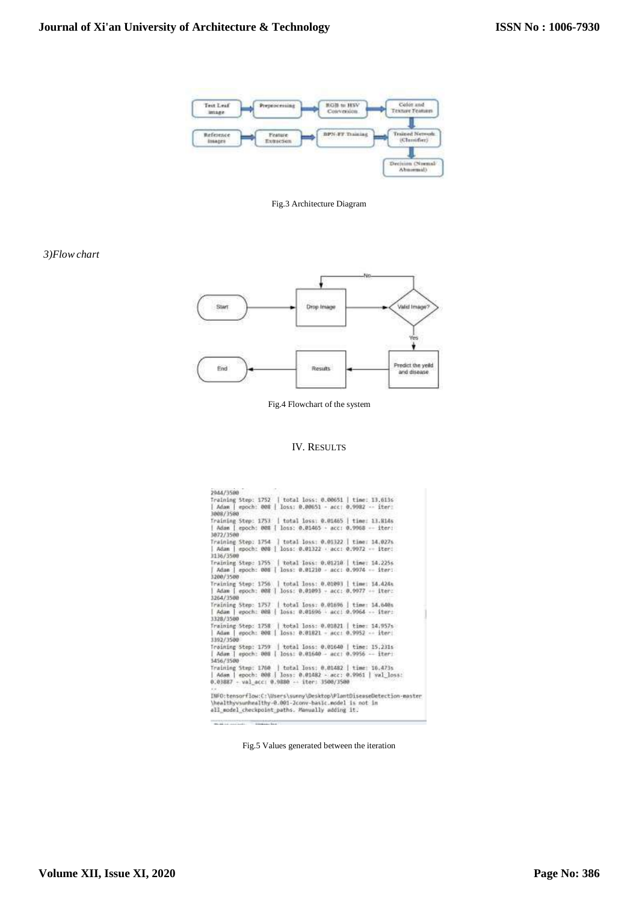

Fig.3 Architecture Diagram

*3)Flow chart*



Fig.4 Flowchart of the system

## IV. RESULTS

| 2944/3590 |                                                                                                                                                                                 |
|-----------|---------------------------------------------------------------------------------------------------------------------------------------------------------------------------------|
|           | Training Step: 1752   total loss: 0.00651   time: 13.613s                                                                                                                       |
|           | Adam   epoch: 008   Ioss: 0.00651 - acc: 0.9982 -- iter:                                                                                                                        |
| 3008/3588 |                                                                                                                                                                                 |
|           | Training Step: 1753   total loss: 0.01465   time: 13.814s                                                                                                                       |
| 3072/3500 | Adam   epoch: 008   loss: 0.01465 - acc: 0.9968 -- iter:                                                                                                                        |
|           | Training Step: 1754   total loss: 0.01322   time: 14.027s                                                                                                                       |
| 3136/3500 | Adam   epoch: 008   loss: 0.01322 - acc: 0.9972 -- iter:                                                                                                                        |
|           | Training Step: 1755   total loss: 0.01210   time: 14.225s                                                                                                                       |
| 3200/3500 | Adam   epoch: 008   loss: 0.01210 - acc: 0.9974 -- iter:                                                                                                                        |
|           | Training Step: 1756   total loss: 0.01091   time: 14.424s                                                                                                                       |
| 3264/3580 | Adam   epoch: 008   loss: 0.01093 - acc: 0.9977 -- iter:                                                                                                                        |
|           | Training Step: 1757   total loss: 0.01696   time: 14.640s                                                                                                                       |
| 3328/3580 | Adam   apoch: 008   loss: 0.01696 - acc: 0.9964 -- iter:                                                                                                                        |
|           | Training Step: 1758   total loss: 0.01821   time: 14.957s                                                                                                                       |
| 3392/3500 | Adam   epoch: 008   loss: 0.01821 - acc: 0.9952 -- iter:                                                                                                                        |
|           | Training Step: 1759   total loss: 0.01640   time: 15.231s                                                                                                                       |
| 3456/3500 | Adam   epoch: 000   loss: 0.01640 - acc: 0.9956 -- iter:                                                                                                                        |
|           | Training Step: 1760   total loss: 0.01482   time: 16.473s                                                                                                                       |
|           | Adam   epoch: 008   loss: 0.01482 - acc: 0.9961   val loss:<br>0.03887 - val acc: 0.9880 -- iter: 3500/3580                                                                     |
| $\sim$    |                                                                                                                                                                                 |
|           | INFO:tensorflow:C:\Users\sunny\Desktop\PlantDiseaseDetection-master<br>\healthyvsumhmalthy-0.001-Jconv-basic.model is not in<br>all model checkpoint paths. Manually adding it. |
|           |                                                                                                                                                                                 |

Fig.5 Values generated between the iteration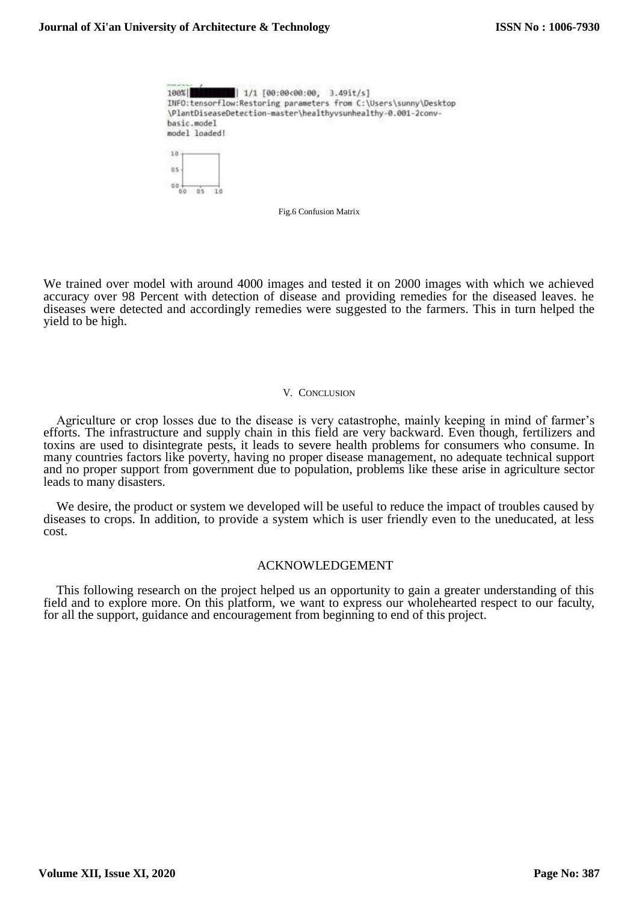| 100%                         | 1/1 [00:00<00:00, 3.49it/s] |                                                                                                                                   |
|------------------------------|-----------------------------|-----------------------------------------------------------------------------------------------------------------------------------|
|                              |                             | INFO:tensorflow:Restoring parameters from C:\Users\sunny\Desktop<br>\PlantDiseaseDetection-master\healthyvsunhealthy-0.001-2conv- |
| basic.model<br>model loaded! |                             |                                                                                                                                   |
| 18                           |                             |                                                                                                                                   |
| ū's                          |                             |                                                                                                                                   |
| 0 <sub>0</sub>               |                             |                                                                                                                                   |

Fig.6 Confusion Matrix

We trained over model with around 4000 images and tested it on 2000 images with which we achieved accuracy over 98 Percent with detection of disease and providing remedies for the diseased leaves. he diseases were detected and accordingly remedies were suggested to the farmers. This in turn helped the yield to be high.

#### V. CONCLUSION

Agriculture or crop losses due to the disease is very catastrophe, mainly keeping in mind of farmer's efforts. The infrastructure and supply chain in this field are very backward. Even though, fertilizers and toxins are used to disintegrate pests, it leads to severe health problems for consumers who consume. In many countries factors like poverty, having no proper disease management, no adequate technical support and no proper support from government due to population, problems like these arise in agriculture sector leads to many disasters.

We desire, the product or system we developed will be useful to reduce the impact of troubles caused by diseases to crops. In addition, to provide a system which is user friendly even to the uneducated, at less cost.

## ACKNOWLEDGEMENT

This following research on the project helped us an opportunity to gain a greater understanding of this field and to explore more. On this platform, we want to express our wholehearted respect to our faculty, for all the support, guidance and encouragement from beginning to end of this project.